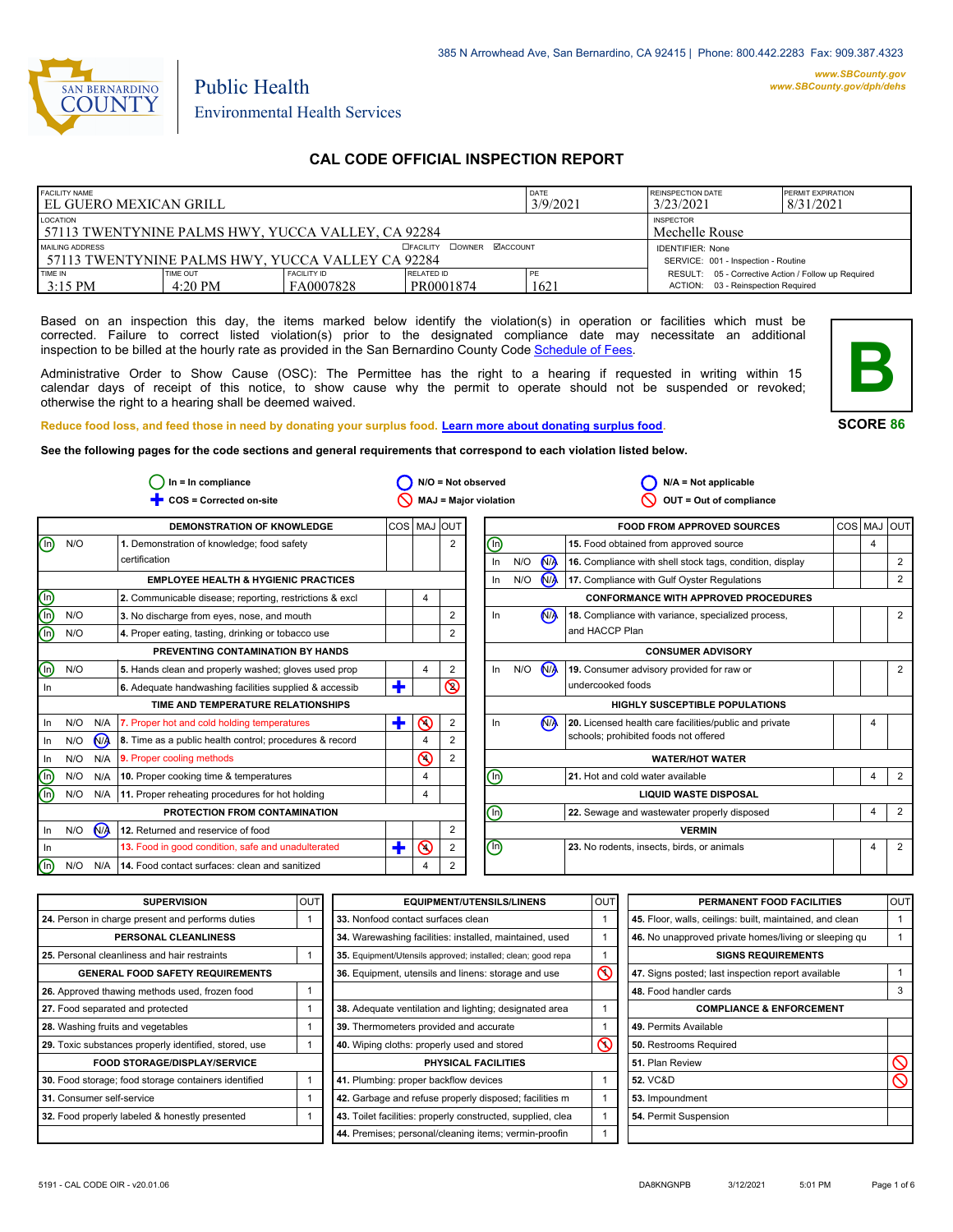

Environmental Health Services

Public Health

## **CAL CODE OFFICIAL INSPECTION REPORT**

| <b>FACILITY NAME</b>                                                                                               |                               |                                 | <b>DATE</b>                                                    | <b>REINSPECTION DATE</b> | <b>PERMIT EXPIRATION</b>                                                                  |  |
|--------------------------------------------------------------------------------------------------------------------|-------------------------------|---------------------------------|----------------------------------------------------------------|--------------------------|-------------------------------------------------------------------------------------------|--|
| I EL GUERO MEXICAN GRILL                                                                                           |                               |                                 | 3/9/2021                                                       | 3/23/2021                | 8/31/2021                                                                                 |  |
| LOCATION                                                                                                           |                               |                                 | <b>INSPECTOR</b>                                               |                          |                                                                                           |  |
| 57113 TWENTYNINE PALMS HWY, YUCCA VALLEY, CA 92284                                                                 |                               |                                 | Mechelle Rouse                                                 |                          |                                                                                           |  |
| <b>DOWNER MACCOUNT</b><br>MAILING ADDRESS<br><b>EFACILITY</b><br>57113 TWENTYNINE PALMS HWY, YUCCA VALLEY CA 92284 |                               |                                 | <b>IDENTIFIER: None</b><br>SERVICE: 001 - Inspection - Routine |                          |                                                                                           |  |
| TIME IN<br>3:15 PM                                                                                                 | TIME OUT<br>$4:20 \text{ PM}$ | <b>FACILITY ID</b><br>FA0007828 | RELATED ID<br>PR0001874                                        | 1621                     | RESULT: 05 - Corrective Action / Follow up Required<br>ACTION: 03 - Reinspection Required |  |

Based on an inspection this day, the items marked below identify the violation(s) in operation or facilities which must be corrected. Failure to correct listed violation(s) prior to the designated compliance date may necessitate an additional inspection to be billed at the hourly rate as provided in the San Bernardino County Co[de Schedule of Fees.](http://www.amlegal.com/nxt/gateway.dll/California/sanbernardinocounty_ca/title1governmentandadministration/division6countyfees/chapter2scheduleoffees?f=templates$fn=default.htm$3.0$vid=amlegal:sanbernardinocounty_ca$anc=JD_16.0213B)

Administrative Order to Show Cause (OSC): The Permittee has the right to a hearing if requested in writing within 15 calendar days of receipt of this notice, to show cause why the permit to operate should not be suspended or revoked; otherwise the right to a hearing shall be deemed waived.



**SCORE 86**

4

2 2

2

2

2

2

 $4 \mid 2$ 

4

4

4

**Reduce food loss, and feed those in need by donating your surplus f[ood. Learn more about donating surplus food.](http://wp.sbcounty.gov/dph/programs/ehs/food-facilities/) See the following pages for the code sections and general requirements that correspond to each violation listed below.**

**COS = Corrected on-site MAJ = Major violation** Ë **OUT = Out of compliance In = In compliance N/A = Not observed N/A = Not applicable**  $\bigcirc$  In = In compliance  $\bigcirc$  N/O = Not observed  $\circ$  $\circ$ 2  $\overline{\circ}$  $\overline{\mathcal{O}}$  $\overline{\mathsf{O}}$  $\bigcirc$  $\sqrt{M}$ **N<sub>A</sub> DEMONSTRATION OF KNOWLEDGE**  $N/O$ **EMPLOYEE HEALTH & HYGIENIC PRACTICES 1.** Demonstration of knowledge; food safety certification **3.** No discharge from eyes, nose, and mouth **4.** Proper eating, tasting, drinking or tobacco use **PREVENTING CONTAMINATION BY HANDS TIME AND TEMPERATURE RELATIONSHIPS 6.** Adequate handwashing facilities supplied & accessib **PROTECTION FROM CONTAMINATION 12.** Returned and reservice of food COS MAJ OUT **FOOD FROM APPROVED SOURCES** COS MAJ OUT **16.** Compliance with shell stock tags, condition, display **17.** Compliance with Gulf Oyster Regulations **CONFORMANCE WITH APPROVED PROCEDURES 18.** Compliance with variance, specialized process, and HACCP Plan **19.** Consumer advisory provided for raw or undercooked foods **CONSUMER ADVISORY HIGHLY SUSCEPTIBLE POPULATIONS WATER/HOT WATER LIQUID WASTE DISPOSAL VERMIN** 2 2 2 2 2 2 2 4 4 4 4 4 **2.** Communicable disease; reporting, restrictions & excl  $\begin{vmatrix} 4 \\ 4 \end{vmatrix}$ N/O N/O  $N/O$ In In N/O N/A  $In$   $N/O$ N/O N/A  $\circledcirc$ In  $N/O$   $N/A$  $In$  N/O In N/A In N/O N/A In N/A In  $\circledcirc$  $\circledcirc$ In N/O N/A  $N/O$   $N/A$  $N/O$   $N/A$  $In$   $N/O$ In  $\mathbf t$  $\mathbf t$  $\ddagger$  $\binom{n}{k}$ n) ⋒ 网 ⋒ ⋒ n) ⋒ N<sub>/</sub> 2 **5.** Hands clean and properly washed; gloves used prop  $\begin{vmatrix} 4 & 2 \end{vmatrix}$ **7.** Proper hot and cold holding temperatures **8.** Time as a public health control; procedures & record **9.** Proper cooling methods **10.** Proper cooking time & temperatures **11.** Proper reheating procedures for hot holding **13.** Food in good condition, safe and unadulterated **14.** Food contact surfaces: clean and sanitized **15.** Food obtained from approved source **20.** Licensed health care facilities/public and private schools; prohibited foods not offered **21.** Hot and cold water available **22.** Sewage and wastewater properly disposed **23.** No rodents, insects, birds, or animals

| <b>SUPERVISION</b>                                    | <b>OUT</b> | <b>EQUIPMENT/UTENSILS/LINENS</b>                             | <b>OUT</b>         | PERMANENT FOOD FACILITIES                                | <b>OUT</b> |
|-------------------------------------------------------|------------|--------------------------------------------------------------|--------------------|----------------------------------------------------------|------------|
| 24. Person in charge present and performs duties      |            | 33. Nonfood contact surfaces clean                           |                    | 45. Floor, walls, ceilings: built, maintained, and clean |            |
| PERSONAL CLEANLINESS                                  |            | 34. Warewashing facilities: installed, maintained, used      |                    | 46. No unapproved private homes/living or sleeping gu    |            |
| 25. Personal cleanliness and hair restraints          |            | 35. Equipment/Utensils approved; installed; clean; good repa |                    | <b>SIGNS REQUIREMENTS</b>                                |            |
| <b>GENERAL FOOD SAFETY REQUIREMENTS</b>               |            | 36. Equipment, utensils and linens: storage and use          | $\overline{\circ}$ | 47. Signs posted; last inspection report available       |            |
| 26. Approved thawing methods used, frozen food        |            |                                                              |                    | 48. Food handler cards                                   |            |
| 27. Food separated and protected                      |            | 38. Adequate ventilation and lighting; designated area       |                    | <b>COMPLIANCE &amp; ENFORCEMENT</b>                      |            |
| 28. Washing fruits and vegetables                     |            | 39. Thermometers provided and accurate                       |                    | 49. Permits Available                                    |            |
| 29. Toxic substances properly identified, stored, use |            | 40. Wiping cloths: properly used and stored                  | $\Omega$           | 50. Restrooms Required                                   |            |
| <b>FOOD STORAGE/DISPLAY/SERVICE</b>                   |            | PHYSICAL FACILITIES                                          |                    | 51. Plan Review                                          |            |
| 30. Food storage; food storage containers identified  |            | 41. Plumbing: proper backflow devices                        |                    | <b>52. VC&amp;D</b>                                      |            |
| 31. Consumer self-service                             |            | 42. Garbage and refuse properly disposed; facilities m       |                    | 53. Impoundment                                          |            |
| 32. Food properly labeled & honestly presented        |            | 43. Toilet facilities: properly constructed, supplied, clea  |                    | 54. Permit Suspension                                    |            |
|                                                       |            | 44. Premises; personal/cleaning items; vermin-proofin        |                    |                                                          |            |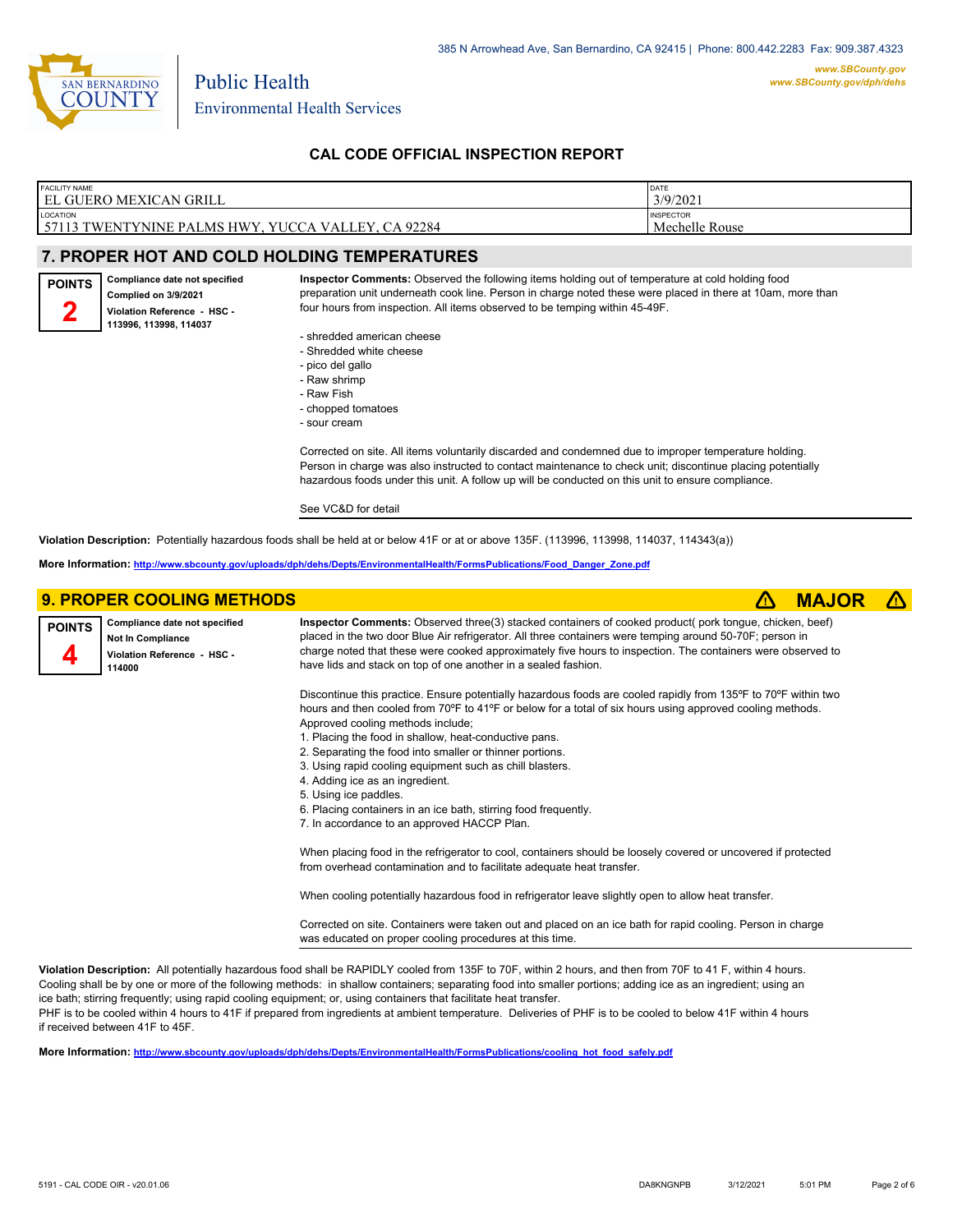

four hours from inspection. All items observed to be temping within 45-49F.

#### FACILITY NAME FACILITY NAME<br>EL GUERO MEXICAN GRILI

| MEXICAN GRILL                             | DATE<br>3/9/2021                   |
|-------------------------------------------|------------------------------------|
| ITYNINE PALMS HWY. YUCCA VALLEY. CA 92284 | <b>INSPECTOR</b><br>Mechelle Rouse |

### **7. PROPER HOT AND COLD HOLDING TEMPERATURES**

**Compliance date not specified POINTS 2**

57113 TWEN

**LOCATION** 

#### **Complied on 3/9/2021 Violation Reference - HSC - 113996, 113998, 114037**

- shredded american cheese
- Shredded white cheese
- pico del gallo
- Raw shrimp
- Raw Fish
- chopped tomatoes
- sour cream

Corrected on site. All items voluntarily discarded and condemned due to improper temperature holding. Person in charge was also instructed to contact maintenance to check unit; discontinue placing potentially hazardous foods under this unit. A follow up will be conducted on this unit to ensure compliance.

**Inspector Comments:** Observed the following items holding out of temperature at cold holding food preparation unit underneath cook line. Person in charge noted these were placed in there at 10am, more than

#### See VC&D for detail

**Violation Description:** Potentially hazardous foods shall be held at or below 41F or at or above 135F. (113996, 113998, 114037, 114343(a))

**More Information: [http://www.sbcounty.gov/uploads/dph/dehs/Depts/EnvironmentalHealth/FormsPublications/Food\\_Danger\\_Zone.pdf](http://www.sbcounty.gov/uploads/dph/dehs/Depts/EnvironmentalHealth/FormsPublications/Food_Danger_Zone.pdf)**

|               | <b>9. PROPER COOLING METHODS</b>                                                                   |                                                                                                                                                                                                                                                                                                                                                                                                                                                                                                                                                                                                                                 | <b>MAJO</b> |  |
|---------------|----------------------------------------------------------------------------------------------------|---------------------------------------------------------------------------------------------------------------------------------------------------------------------------------------------------------------------------------------------------------------------------------------------------------------------------------------------------------------------------------------------------------------------------------------------------------------------------------------------------------------------------------------------------------------------------------------------------------------------------------|-------------|--|
| <b>POINTS</b> | Compliance date not specified<br><b>Not In Compliance</b><br>Violation Reference - HSC -<br>114000 | Inspector Comments: Observed three(3) stacked containers of cooked product( pork tongue, chicken, beef)<br>placed in the two door Blue Air refrigerator. All three containers were temping around 50-70F; person in<br>charge noted that these were cooked approximately five hours to inspection. The containers were observed to<br>have lids and stack on top of one another in a sealed fashion.                                                                                                                                                                                                                            |             |  |
|               |                                                                                                    | Discontinue this practice. Ensure potentially hazardous foods are cooled rapidly from 135°F to 70°F within two<br>hours and then cooled from 70°F to 41°F or below for a total of six hours using approved cooling methods.<br>Approved cooling methods include;<br>1. Placing the food in shallow, heat-conductive pans.<br>2. Separating the food into smaller or thinner portions.<br>3. Using rapid cooling equipment such as chill blasters.<br>4. Adding ice as an ingredient.<br>5. Using ice paddles.<br>6. Placing containers in an ice bath, stirring food frequently.<br>7. In accordance to an approved HACCP Plan. |             |  |
|               |                                                                                                    | When placing food in the refrigerator to cool, containers should be loosely covered or uncovered if protected<br>from overhead contamination and to facilitate adequate heat transfer.                                                                                                                                                                                                                                                                                                                                                                                                                                          |             |  |
|               |                                                                                                    | When cooling potentially hazardous food in refrigerator leave slightly open to allow heat transfer.<br>Corrected on site. Containers were taken out and placed on an ice bath for rapid cooling. Person in charge<br>was educated on proper cooling procedures at this time.                                                                                                                                                                                                                                                                                                                                                    |             |  |

**Violation Description:** All potentially hazardous food shall be RAPIDLY cooled from 135F to 70F, within 2 hours, and then from 70F to 41 F, within 4 hours. Cooling shall be by one or more of the following methods: in shallow containers; separating food into smaller portions; adding ice as an ingredient; using an ice bath; stirring frequently; using rapid cooling equipment; or, using containers that facilitate heat transfer.

PHF is to be cooled within 4 hours to 41F if prepared from ingredients at ambient temperature. Deliveries of PHF is to be cooled to below 41F within 4 hours if received between 41F to 45F.

**More Information: [http://www.sbcounty.gov/uploads/dph/dehs/Depts/EnvironmentalHealth/FormsPublications/cooling\\_hot\\_food\\_safely.pdf](http://www.sbcounty.gov/uploads/dph/dehs/Depts/EnvironmentalHealth/FormsPublications/cooling_hot_food_safely.pdf)**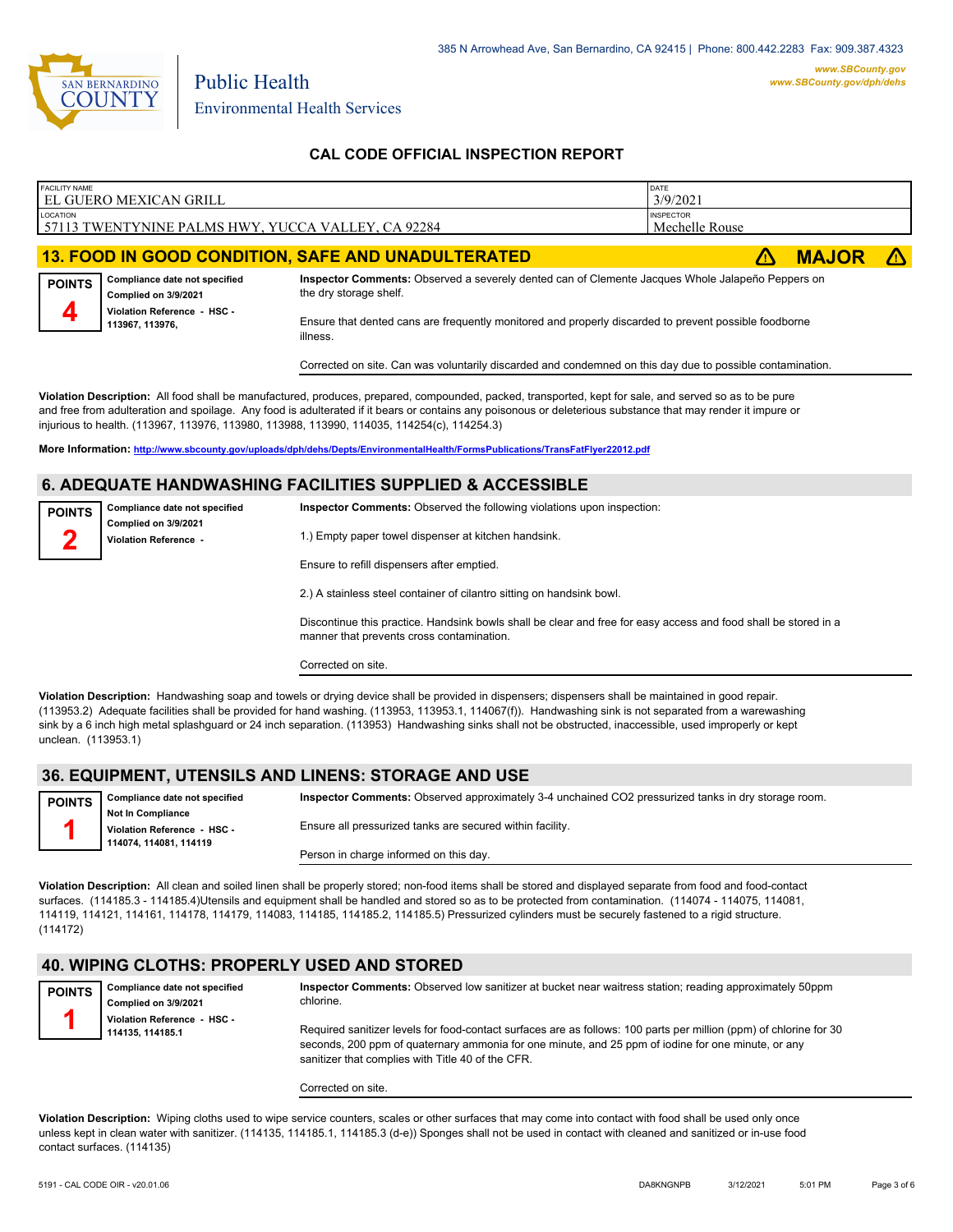

| <b>FACILITY NAME</b> | EL GUERO MEXICAN GRILL                                |                                                                                                                            | DATE<br>3/9/2021                   |              |  |
|----------------------|-------------------------------------------------------|----------------------------------------------------------------------------------------------------------------------------|------------------------------------|--------------|--|
| LOCATION             | 57113 TWENTYNINE PALMS HWY, YUCCA VALLEY, CA 92284    |                                                                                                                            | <b>INSPECTOR</b><br>Mechelle Rouse |              |  |
|                      |                                                       | <b>13. FOOD IN GOOD CONDITION, SAFE AND UNADULTERATED</b>                                                                  |                                    | <b>MAJOR</b> |  |
| <b>POINTS</b>        | Compliance date not specified<br>Complied on 3/9/2021 | Inspector Comments: Observed a severely dented can of Clemente Jacques Whole Jalapeño Peppers on<br>the dry storage shelf. |                                    |              |  |
| 4                    | Violation Reference - HSC -<br>113967, 113976,        | Ensure that dented cans are frequently monitored and properly discarded to prevent possible foodborne<br>illness.          |                                    |              |  |
|                      |                                                       | Corrected on site. Can was voluntarily discarded and condemned on this day due to possible contamination.                  |                                    |              |  |

**Violation Description:** All food shall be manufactured, produces, prepared, compounded, packed, transported, kept for sale, and served so as to be pure and free from adulteration and spoilage. Any food is adulterated if it bears or contains any poisonous or deleterious substance that may render it impure or injurious to health. (113967, 113976, 113980, 113988, 113990, 114035, 114254(c), 114254.3)

**More Information: <http://www.sbcounty.gov/uploads/dph/dehs/Depts/EnvironmentalHealth/FormsPublications/TransFatFlyer22012.pdf>**

#### **6. ADEQUATE HANDWASHING FACILITIES SUPPLIED & ACCESSIBLE**

| <b>POINTS</b> | Compliance date not specified                 | <b>Inspector Comments:</b> Observed the following violations upon inspection: |
|---------------|-----------------------------------------------|-------------------------------------------------------------------------------|
|               | Complied on 3/9/2021<br>Violation Reference - | 1.) Empty paper towel dispenser at kitchen handsink.                          |
|               |                                               | Ensure to refill dispensers after emptied.                                    |
|               |                                               | 2.) A stainless steel container of cilantro sitting on handsink bowl.         |

Discontinue this practice. Handsink bowls shall be clear and free for easy access and food shall be stored in a manner that prevents cross contamination.

Corrected on site.

**Violation Description:** Handwashing soap and towels or drying device shall be provided in dispensers; dispensers shall be maintained in good repair. (113953.2) Adequate facilities shall be provided for hand washing. (113953, 113953.1, 114067(f)). Handwashing sink is not separated from a warewashing sink by a 6 inch high metal splashguard or 24 inch separation. (113953) Handwashing sinks shall not be obstructed, inaccessible, used improperly or kept unclean. (113953.1)

### **36. EQUIPMENT, UTENSILS AND LINENS: STORAGE AND USE**

| <b>POINTS</b> | Compliance date not specified | Inspector Comments: Observed approximately 3-4 unchained CO2 pressurized tanks in dry storage room. |
|---------------|-------------------------------|-----------------------------------------------------------------------------------------------------|
|               | <b>Not In Compliance</b>      |                                                                                                     |
|               | Violation Reference - HSC -   | Ensure all pressurized tanks are secured within facility.                                           |
|               | 114074, 114081, 114119        |                                                                                                     |
|               |                               | Person in charge informed on this day.                                                              |

**Violation Description:** All clean and soiled linen shall be properly stored; non-food items shall be stored and displayed separate from food and food-contact surfaces. (114185.3 - 114185.4)Utensils and equipment shall be handled and stored so as to be protected from contamination. (114074 - 114075, 114081, 114119, 114121, 114161, 114178, 114179, 114083, 114185, 114185.2, 114185.5) Pressurized cylinders must be securely fastened to a rigid structure. (114172)

#### **40. WIPING CLOTHS: PROPERLY USED AND STORED**

| <b>POINTS</b> | Compliance date not specified<br>Complied on 3/9/2021 | Inspector Comments: Observed low sanitizer at bucket near waitress station; reading approximately 50ppm<br>chlorine.                                                                                                                                                          |
|---------------|-------------------------------------------------------|-------------------------------------------------------------------------------------------------------------------------------------------------------------------------------------------------------------------------------------------------------------------------------|
|               | Violation Reference - HSC -<br>114135.114185.1        | Required sanitizer levels for food-contact surfaces are as follows: 100 parts per million (ppm) of chlorine for 30<br>seconds, 200 ppm of quaternary ammonia for one minute, and 25 ppm of iodine for one minute, or any<br>sanitizer that complies with Title 40 of the CFR. |

Corrected on site.

**Violation Description:** Wiping cloths used to wipe service counters, scales or other surfaces that may come into contact with food shall be used only once unless kept in clean water with sanitizer. (114135, 114185.1, 114185.3 (d-e)) Sponges shall not be used in contact with cleaned and sanitized or in-use food contact surfaces. (114135)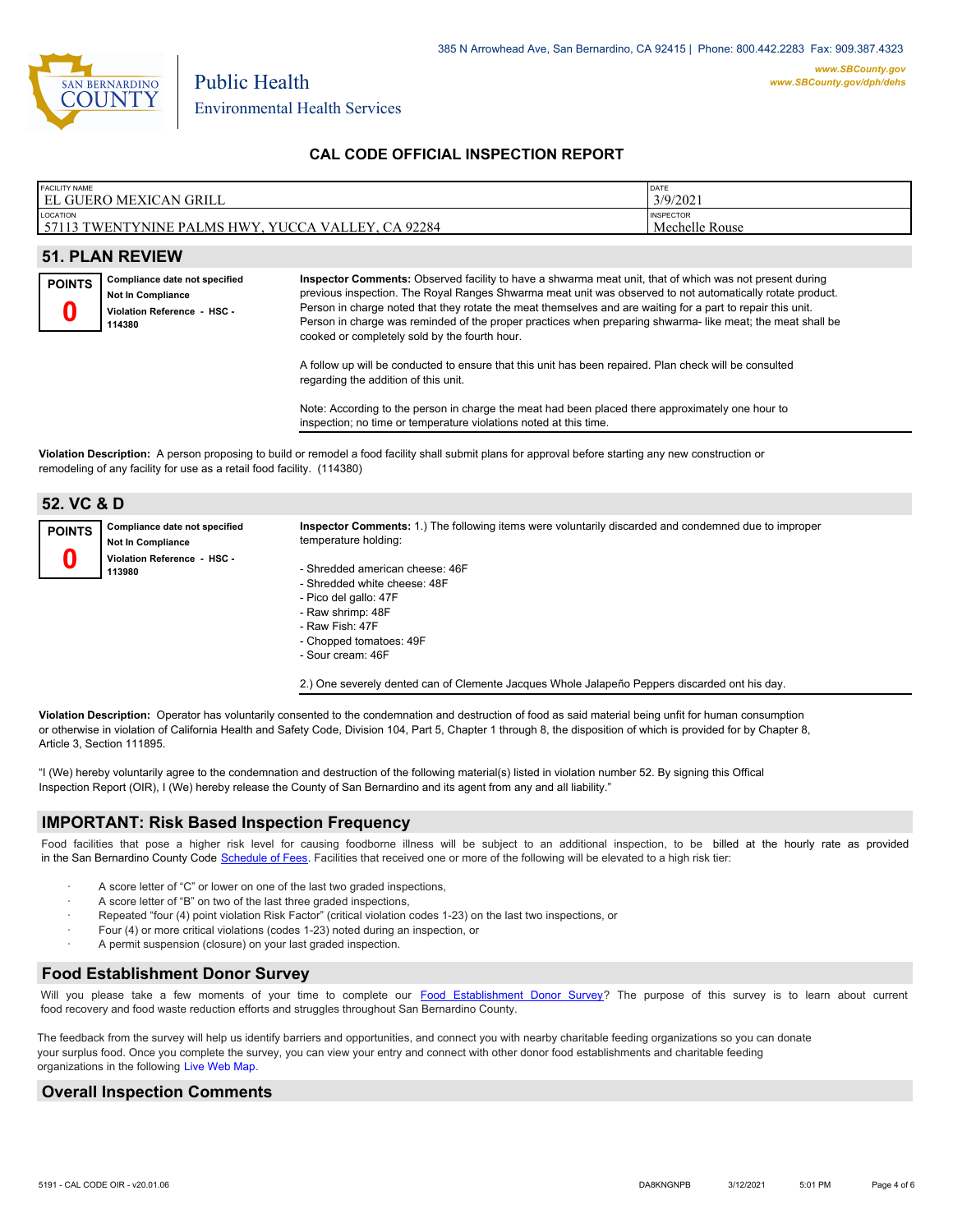

| <b>FACILITY NAME</b><br>ገ MEXICAN GRILL<br><b>EL GUERO</b>                                          | DATE<br>3/9/2021                   |
|-----------------------------------------------------------------------------------------------------|------------------------------------|
| LOCATION<br>$CA$ 92284<br><b>VALLEY</b><br>YUCC <sub>t</sub><br>57113 TWENTYNINE<br>MS HWY.<br>`PAL | <b>INSPECTOR</b><br>Mechelle Rouse |

### **51. PLAN REVIEW**

**Compliance date not specified Not In Compliance Violation Reference - HSC - 114380 POINTS 0**

**Inspector Comments:** Observed facility to have a shwarma meat unit, that of which was not present during previous inspection. The Royal Ranges Shwarma meat unit was observed to not automatically rotate product. Person in charge noted that they rotate the meat themselves and are waiting for a part to repair this unit. Person in charge was reminded of the proper practices when preparing shwarma- like meat; the meat shall be cooked or completely sold by the fourth hour.

A follow up will be conducted to ensure that this unit has been repaired. Plan check will be consulted regarding the addition of this unit.

Note: According to the person in charge the meat had been placed there approximately one hour to inspection; no time or temperature violations noted at this time.

**Violation Description:** A person proposing to build or remodel a food facility shall submit plans for approval before starting any new construction or remodeling of any facility for use as a retail food facility. (114380)

| 52. VC & D    |                                                           |                                                                                                                                                                                  |
|---------------|-----------------------------------------------------------|----------------------------------------------------------------------------------------------------------------------------------------------------------------------------------|
| <b>POINTS</b> | Compliance date not specified<br><b>Not In Compliance</b> | Inspector Comments: 1.) The following items were voluntarily discarded and condemned due to improper<br>temperature holding:                                                     |
|               | Violation Reference - HSC -<br>113980                     | - Shredded american cheese: 46F<br>- Shredded white cheese: 48F<br>- Pico del gallo: 47F<br>- Raw shrimp: 48F<br>- Raw Fish: 47F<br>- Chopped tomatoes: 49F<br>- Sour cream: 46F |

2.) One severely dented can of Clemente Jacques Whole Jalapeño Peppers discarded ont his day.

**Violation Description:** Operator has voluntarily consented to the condemnation and destruction of food as said material being unfit for human consumption or otherwise in violation of California Health and Safety Code, Division 104, Part 5, Chapter 1 through 8, the disposition of which is provided for by Chapter 8, Article 3, Section 111895.

"I (We) hereby voluntarily agree to the condemnation and destruction of the following material(s) listed in violation number 52. By signing this Offical Inspection Report (OIR), I (We) hereby release the County of San Bernardino and its agent from any and all liability."

#### **IMPORTANT: Risk Based Inspection Frequency**

Food facilities that pose a higher risk level for causing foodborne illness will be subject to an additional inspection, to be billed at the hourly rate as provided in the San Bernardino Count[y Code Schedule of Fees. Facilitie](http://www.amlegal.com/nxt/gateway.dll/California/sanbernardinocounty_ca/title1governmentandadministration/division6countyfees/chapter2scheduleoffees?f=templates$fn=default.htm$3.0$vid=amlegal:sanbernardinocounty_ca$anc=JD_16.0213B)s that received one or more of the following will be elevated to a high risk tier:

- A score letter of "C" or lower on one of the last two graded inspections,
- A score letter of "B" on two of the last three graded inspections,
- Repeated "four (4) point violation Risk Factor" (critical violation codes 1-23) on the last two inspections, or
- Four (4) or more critical violations (codes 1-23) noted during an inspection, or
- A permit suspension (closure) on your last graded inspection.

#### **Food Establishment Donor Survey**

Will you please take a few moments of your time to co[mplete our Food Establishment Donor Survey?](https://survey123.arcgis.com/share/626bb0fb21674c82832b0c0d557c5e80?field:faid=FA0007828&field:facility_name=EL%20GUERO%20MEXICAN%20GRILL¢er=34.12,-116.42&field:phone=7602280561) The purpose of this survey is to learn about current food recovery and food waste reduction efforts and struggles throughout San Bernardino County.

The feedback from the survey will help us identify barriers and opportunities, and connect you with nearby charitable feeding organizations so you can donate your surplus food. Once you complete the survey, you can view your entry and connect with other donor food establishments and charitable feeding organizations in the fol[lowing Live Web Map.](https://arcg.is/WvjGb)

## **Overall Inspection Comments**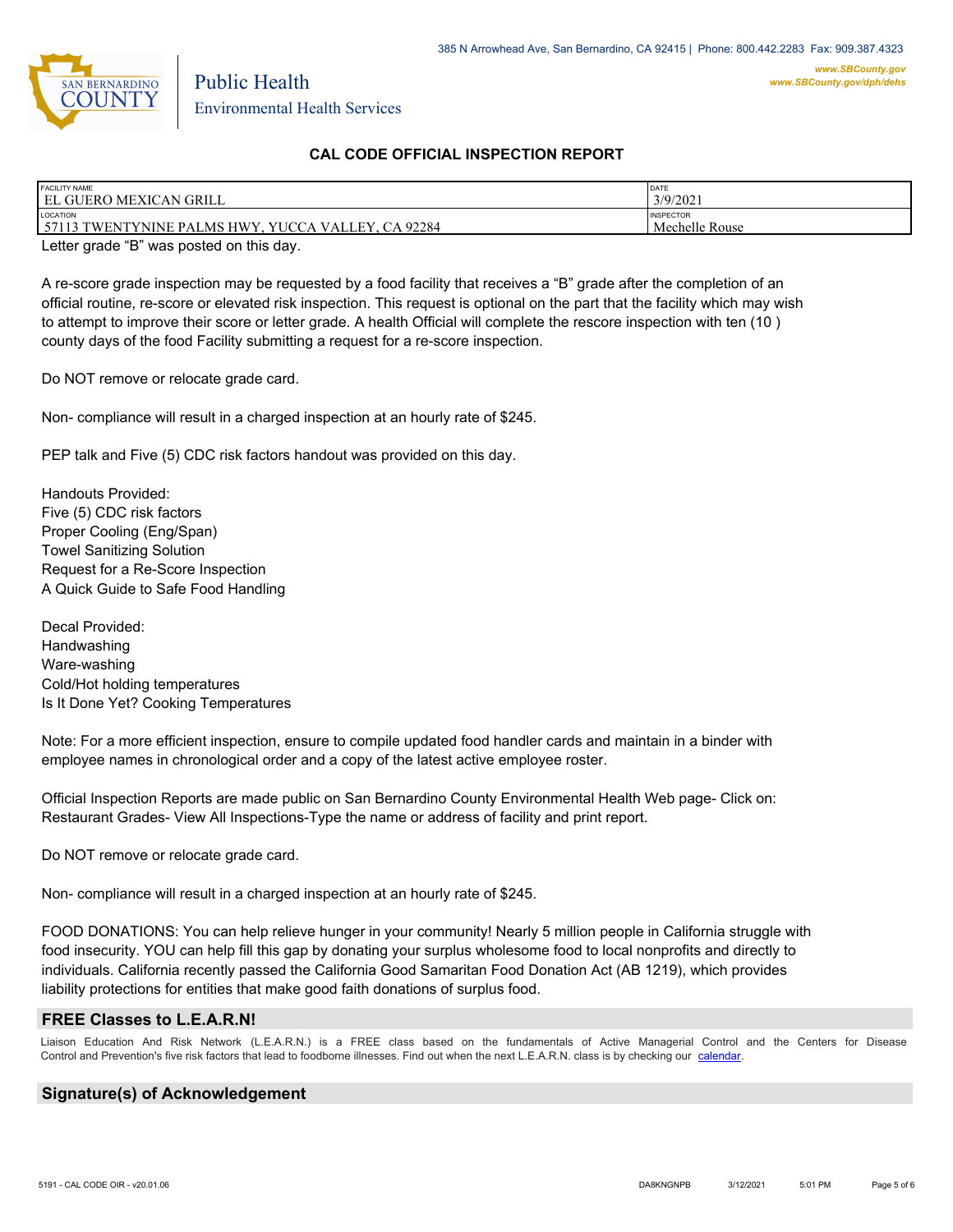

| <b>FACILITY NAME</b><br><b>EL GUERO</b><br>) MEXICAN GRILL                              | DATE<br>3/9/2021                   |
|-----------------------------------------------------------------------------------------|------------------------------------|
| <b>LOCATION</b><br>92284<br>57113<br>VALLEY.<br>3 TWENTYNINE PALMS HWY.<br>. YUCC<br>СA | <b>INSPECTOR</b><br>Mechelle Rouse |

Letter grade "B" was posted on this day.

A re-score grade inspection may be requested by a food facility that receives a "B" grade after the completion of an official routine, re-score or elevated risk inspection. This request is optional on the part that the facility which may wish to attempt to improve their score or letter grade. A health Official will complete the rescore inspection with ten (10 ) county days of the food Facility submitting a request for a re-score inspection.

Do NOT remove or relocate grade card.

Non- compliance will result in a charged inspection at an hourly rate of \$245.

PEP talk and Five (5) CDC risk factors handout was provided on this day.

Handouts Provided: Five (5) CDC risk factors Proper Cooling (Eng/Span) Towel Sanitizing Solution Request for a Re-Score Inspection A Quick Guide to Safe Food Handling

Decal Provided: Handwashing Ware-washing Cold/Hot holding temperatures Is It Done Yet? Cooking Temperatures

Note: For a more efficient inspection, ensure to compile updated food handler cards and maintain in a binder with employee names in chronological order and a copy of the latest active employee roster.

Official Inspection Reports are made public on San Bernardino County Environmental Health Web page- Click on: Restaurant Grades- View All Inspections-Type the name or address of facility and print report.

Do NOT remove or relocate grade card.

Non- compliance will result in a charged inspection at an hourly rate of \$245.

FOOD DONATIONS: You can help relieve hunger in your community! Nearly 5 million people in California struggle with food insecurity. YOU can help fill this gap by donating your surplus wholesome food to local nonprofits and directly to individuals. California recently passed the California Good Samaritan Food Donation Act (AB 1219), which provides liability protections for entities that make good faith donations of surplus food.

#### **FREE Classes to L.E.A.R.N!**

Liaison Education And Risk Network (L.E.A.R.N.) is a FREE class based on the fundamentals of Active Managerial Control and the Centers for Disease Control and Prevention's five risk factors that lead to foodborne illnesses. Find out when the next L.E.A.R.N. class is by checking our [calendar.](http://wp.sbcounty.gov/dph/events/)

## **Signature(s) of Acknowledgement**